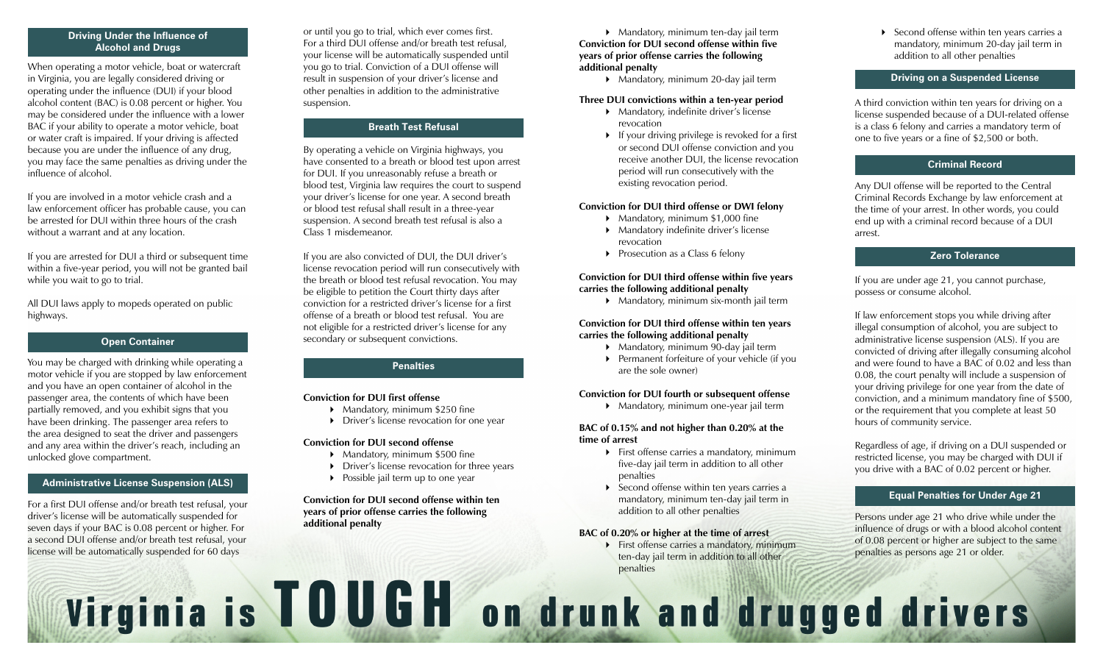## **Driving Under the Influence of Alcohol and Drugs**

When operating a motor vehicle, boat or watercraft in Virginia, you are legally considered driving or operating under the influence (DUI) if your blood alcohol content (BAC) is 0.08 percent or higher. You may be considered under the influence with a lower BAC if your ability to operate a motor vehicle, boat or water craft is impaired. If your driving is affected because you are under the influence of any drug, you may face the same penalties as driving under the influence of alcohol.

If you are involved in a motor vehicle crash and a law enforcement officer has probable cause, you can be arrested for DUI within three hours of the crash without a warrant and at any location.

If you are arrested for DUI a third or subsequent time within a five-year period, you will not be granted bail while you wait to go to trial.

All DUI laws apply to mopeds operated on public highways.

#### **Open Container**

You may be charged with drinking while operating a motor vehicle if you are stopped by law enforcement and you have an open container of alcohol in the passenger area, the contents of which have been partially removed, and you exhibit signs that you have been drinking. The passenger area refers to the area designed to seat the driver and passengers and any area within the driver's reach, including an unlocked glove compartment.

## **icense Suspension (ALS) Administrative License Suspension (ALS)**

For a first DUI offense and/or breath test refusal, your driver's license will be automatically suspended for seven days if your BAC is 0.08 percent or higher. For a second DUI offense and/or breath test refusal, your license will be automatically suspended for 60 days

or until you go to trial, which ever comes first. For a third DUI offense and/or breath test refusal, your license will be automatically suspended until you go to trial. Conviction of a DUI offense will result in suspension of your driver's license and other penalties in addition to the administrative suspension.

## **Breath Test Refusal**

By operating a vehicle on Virginia highways, you have consented to a breath or blood test upon arrest for DUI. If you unreasonably refuse a breath or blood test, Virginia law requires the court to suspend your driver's license for one year. A second breath or blood test refusal shall result in a three-year suspension. A second breath test refusal is also a Class 1 misdemeanor.

If you are also convicted of DUI, the DUI driver's license revocation period will run consecutively with the breath or blood test refusal revocation. You may be eligible to petition the Court thirty days after conviction for a restricted driver's license for a first offense of a breath or blood test refusal. You are not eligible for a restricted driver's license for any secondary or subsequent convictions.

## **Penalties**

#### **Conviction for DUI first offense**

- Mandatory, minimum \$250 fine
- ▶ Driver's license revocation for one year

#### **Conviction for DUI second offense**

- $\blacktriangleright$  Mandatory, minimum \$500 fine
- **Driver's license revocation for three years**
- $\triangleright$  Possible jail term up to one year

#### **Conviction for DUI second offense within ten years of prior offense carries the following additional penalty**

#### ▶ Mandatory, minimum ten-day jail term **Conviction for DUI second offense within five years of prior offense carries the following additional penalty**

Mandatory, minimum 20-day jail term

## **Three DUI convictions within a ten-year period**

- Mandatory, indefinite driver's license revocation
- $\triangleright$  If your driving privilege is revoked for a first or second DUI offense conviction and you receive another DUI, the license revocation period will run consecutively with the existing revocation period.

#### **Conviction for DUI third offense or DWI felony**

- Mandatory, minimum \$1,000 fine
- Mandatory indefinite driver's license revocation
- Prosecution as a Class 6 felony

## **Conviction for DUI third offense within five years carries the following additional penalty**

 Mandatory, minimum six-month jail term

## **Conviction for DUI third offense within ten years carries the following additional penalty**

- ▶ Mandatory, minimum 90-day jail term
- Permanent forfeiture of your vehicle (if you are the sole owner)

#### **Conviction for DUI fourth or subsequent offense**

 Mandatory, minimum one-year jail term

#### **BAC of 0.15% and not higher than 0.20% at the time of arrest**

- First offense carries a mandatory, minimum five-day jail term in addition to all other penalties
- ▶ Second offense within ten years carries a mandatory, minimum ten-day jail term in addition to all other penalties

#### **BAC of 0.20% or higher at the time of arrest**

First offense carries a mandatory, minimum ten-day jail term in addition to all other penalties

▶ Second offense within ten years carries a mandatory, minimum 20-day jail term in addition to all other penalties

#### **Driving on a Suspended License**

A third conviction within ten years for driving on a license suspended because of a DUI-related offense is a class 6 felony and carries a mandatory term of one to five years or a fine of \$2,500 or both.

## **Criminal Record**

Any DUI offense will be reported to the Central Criminal Records Exchange by law enforcement at the time of your arrest. In other words, you could end up with a criminal record because of a DUI arrest.

# **Zero Tolerance**

If you are under age 21, you cannot purchase, possess or consume alcohol.

If law enforcement stops you while driving after illegal consumption of alcohol, you are subject to administrative license suspension (ALS). If you are convicted of driving after illegally consuming alcohol and were found to have a BAC of 0.02 and less than 0.08, the court penalty will include a suspension of your driving privilege for one year from the date of conviction, and a minimum mandatory fine of \$500, or the requirement that you complete at least 50 hours of community service.

Regardless of age, if driving on a DUI suspended or restricted license, you may be charged with DUI if you drive with a BAC of 0.02 percent or higher.

## **Equal Penalties for Under Age 21**

Persons under age 21 who drive while under the influence of drugs or with a blood alcohol content of 0.08 percent or higher are subject to the same penalties as persons age 21 or older.

# Virginia is TOUGH on drunk and drugged drivers